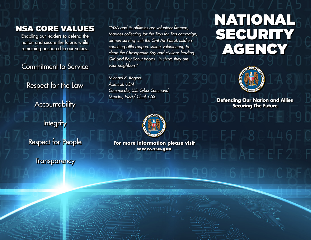## NSA CORE VALUES

Enabling our leaders to defend the nation and secure the future, while remaining anchored to our values.

Commitment to Service

Respect for the Law

**Accountability** 

**Integrity** 

Respect for People

**Transparency** 

*"NSA and its affiliates are volunteer firemen, Marines collecting for the Toys for Tots campaign, airmen serving with the Civil Air Patrol, soldiers coaching Little League, sailors volunteering to clean the Chesapeake Bay and civilians leading Girl and Boy Scout troops. In short, they are your neighbors."*

*Michael S. Rogers Admiral, USN Commander, U.S. Cyber Command Director, NSA/ Chief, CSS*





**Defending Our Nation and Allies Securing The Future**



**For more information please visit www.nsa.gov**